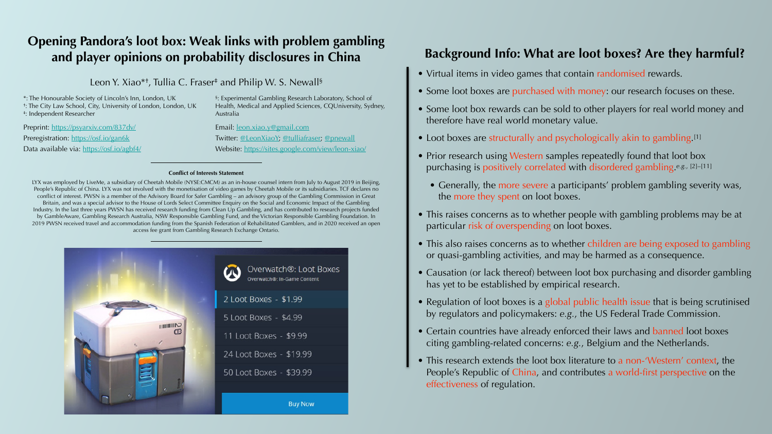# **Opening Pandora's loot box: Weak links with problem gambling and player opinions on probability disclosures in China**

Leon Y. Xiao\*<sup>+</sup>, Tullia C. Fraser<sup>‡</sup> and Philip W. S. Newall<sup>§</sup>

# **Background Info: What are loot boxes? Are they harmful?**

- Virtual items in video games that contain randomised rewards.
- Some loot boxes are purchased with money: our research focuses on these.
- Some loot box rewards can be sold to other players for real world money and therefore have real world monetary value.
- Loot boxes are structurally and psychologically akin to gambling.<sup>[1]</sup>
- Prior research using Western samples repeatedly found that loot box purchasing is positively correlated with disordered gambling.*e.g.*, [2]–[11]
	- Generally, the more severe a participants' problem gambling severity was, the more they spent on loot boxes.
- This raises concerns as to whether people with gambling problems may be at particular risk of overspending on loot boxes.
- This also raises concerns as to whether children are being exposed to gambling or quasi-gambling activities, and may be harmed as a consequence.
- Causation (or lack thereof) between loot box purchasing and disorder gambling has yet to be established by empirical research.
- Regulation of loot boxes is a global public health issue that is being scrutinised by regulators and policymakers: *e.g.*, the US Federal Trade Commission.
- Certain countries have already enforced their laws and banned loot boxes citing gambling-related concerns: *e.g.*, Belgium and the Netherlands.
- This research extends the loot box literature to a non-'Western' context, the People's Republic of China, and contributes a world-first perspective on the effectiveness of regulation.







#### **Conflict of Interests Statement**

LYX was employed by LiveMe, a subsidiary of Cheetah Mobile (NYSE:CMCM) as an in-house counsel intern from July to August 2019 in Beijing, People's Republic of China. LYX was not involved with the monetisation of video games by Cheetah Mobile or its subsidiaries. TCF declares no conflict of interest. PWSN is a member of the Advisory Board for Safer Gambling – an advisory group of the Gambling Commission in Great Britain, and was a special advisor to the House of Lords Select Committee Enquiry on the Social and Economic Impact of the Gambling Industry. In the last three years PWSN has received research funding from Clean Up Gambling, and has contributed to research projects funded by GambleAware, Gambling Research Australia, NSW Responsible Gambling Fund, and the Victorian Responsible Gambling Foundation. In 2019 PWSN received travel and accommodation funding from the Spanish Federation of Rehabilitated Gamblers, and in 2020 received an open access fee grant from Gambling Research Exchange Ontario.



\*: The Honourable Society of Lincoln's Inn, London, UK †: The City Law School, City, University of London, London, UK ‡: Independent Researcher

Preprint:<https://psyarxiv.com/837dv/> Preregistration: <https://osf.io/gan6k> Data available via: <https://osf.io/agbf4/> §: Experimental Gambling Research Laboratory, School of Health, Medical and Applied Sciences, CQUniversity, Sydney, Australia

Email: [leon.xiao.y@gmail.com](mailto:leon.xiao.y@gmail.com) Twitter: [@LeonXiaoY;](https://twitter.com/LeonXiaoY) [@tulliafraser](https://twitter.com/tulliafraser); [@pnewall](https://twitter.com/pnewall) Website:<https://sites.google.com/view/leon-xiao/>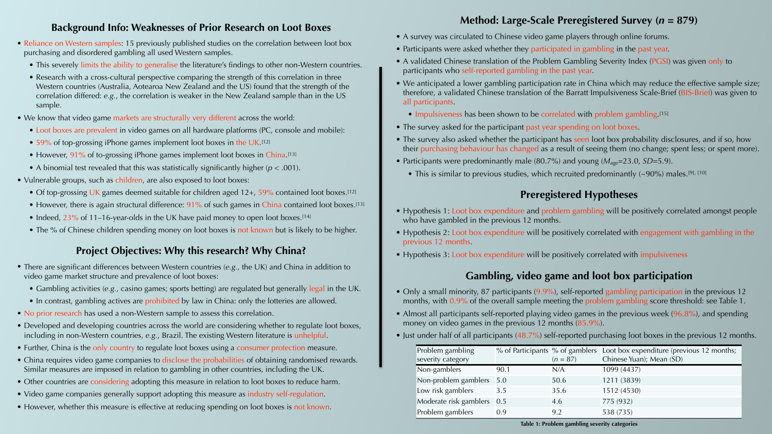#### **Background Info: Weaknesses of Prior Research on Loot Boxes**

- Reliance on Western samples: 15 previously published studies on the correlation between loot box purchasing and disordered gambling all used Western samples.
	- This severely limits the ability to generalise the literature's findings to other non-Western countries.
	- Research with a cross-cultural perspective comparing the strength of this correlation in three Western countries (Australia, Aotearoa New Zealand and the US) found that the strength of the correlation differed: *e.g.*, the correlation is weaker in the New Zealand sample than in the US sample.
- We know that video game markets are structurally very different across the world:
	- Loot boxes are prevalent in video games on all hardware platforms (PC, console and mobile):
	- 59% of top-grossing iPhone games implement loot boxes in the UK.<sup>[12]</sup>
	- However, 91% of to-grossing iPhone games implement loot boxes in China.<sup>[13]</sup>
	- A binomial test revealed that this was statistically significantly higher (*p* < .001).
- Vulnerable groups, such as children, are also exposed to loot boxes:
	- Of top-grossing UK games deemed suitable for children aged 12+, 59% contained loot boxes.<sup>[12]</sup>
	- However, there is again structural difference: 91% of such games in China contained loot boxes.<sup>[13]</sup>
	- Indeed, 23% of 11–16-year-olds in the UK have paid money to open loot boxes.<sup>[14]</sup>
	- The % of Chinese children spending money on loot boxes is not known but is likely to be higher.

- There are significant differences between Western countries (*e.g.*, the UK) and China in addition to video game market structure and prevalence of loot boxes:
	- Gambling activities (*e.g.*, casino games; sports betting) are regulated but generally legal in the UK.
	- In contrast, gambling actives are prohibited by law in China: only the lotteries are allowed.
- No prior research has used a non-Western sample to assess this correlation.
- Developed and developing countries across the world are considering whether to regulate loot boxes, including in non-Western countries, *e.g.*, Brazil. The existing Western literature is unhelpful.
- Further, China is the only country to regulate loot boxes using a consumer protection measure.
- China requires video game companies to disclose the probabilities of obtaining randomised rewards. Similar measures are imposed in relation to gambling in other countries, including the UK.
- Other countries are considering adopting this measure in relation to loot boxes to reduce harm.
- Video game companies generally support adopting this measure as industry self-regulation.
- However, whether this measure is effective at reducing spending on loot boxes is not known.
- A survey was circulated to Chinese video game players through online forums.
- Participants were asked whether they participated in gambling in the past year.
- A validated Chinese translation of the Problem Gambling Severity Index (PGSI) was given only to participants who self-reported gambling in the past year.
- We anticipated a lower gambling participation rate in China which may reduce the effective sample size; therefore, a validated Chinese translation of the Barratt Impulsiveness Scale-Brief (BIS-Brief) was given to all participants.
	- Impulsiveness has been shown to be correlated with problem gambling.<sup>[15]</sup>
- The survey asked for the participant past year spending on loot boxes.
- The survey also asked whether the participant has seen loot box probability disclosures, and if so, how their purchasing behaviour has changed as a result of seeing them (no change; spent less; or spent more).
- Participants were predominantly male (80.7%) and young ( $M_{\text{age}}$ =23.0, *SD*=5.9).
	- This is similar to previous studies, which recruited predominantly (~90%) males.<sup>[9], [10]</sup>

#### **Project Objectives: Why this research? Why China?**

- Hypothesis 1: Loot box expenditure and problem gambling will be positively correlated amongst people who have gambled in the previous 12 months.
- Hypothesis 2: Loot box expenditure will be positively correlated with engagement with gambling in the previous 12 months.
- Hypothesis 3: Loot box expenditure will be positively correlated with impulsiveness

### **Method: Large-Scale Preregistered Survey (***n* **= 879)**

## **Preregistered Hypotheses**

## **Gambling, video game and loot box participation**

- Only a small minority, 87 participants (9.9%), self-reported gambling participation in the previous 12 months, with 0.9% of the overall sample meeting the problem gambling score threshold: see Table 1.
- Almost all participants self-reported playing video games in the previous week (96.8%), and spending money on video games in the previous 12 months (85.9%).
- Just under half of all participants (48.7%) self-reported purchasing loot boxes in the previous 12 months.

| Problem gambling           |      |            | % of Participants % of gamblers Loot box expenditure (previous 12 months; |
|----------------------------|------|------------|---------------------------------------------------------------------------|
| severity category          |      | $(n = 87)$ | Chinese Yuan); Mean (SD)                                                  |
| Non-gamblers               | 90.1 | N/A        | 1099 (4437)                                                               |
| Non-problem gamblers 5.0   |      | 50.6       | 1211 (3839)                                                               |
| Low risk gamblers          | 3.5  | 35.6       | 1512 (4530)                                                               |
| Moderate risk gamblers 0.5 |      | 4.6        | 775 (932)                                                                 |
| Problem gamblers           | 0.9  | 9.2        | 538 (735)                                                                 |

**Table 1: Problem gambling severity categories**